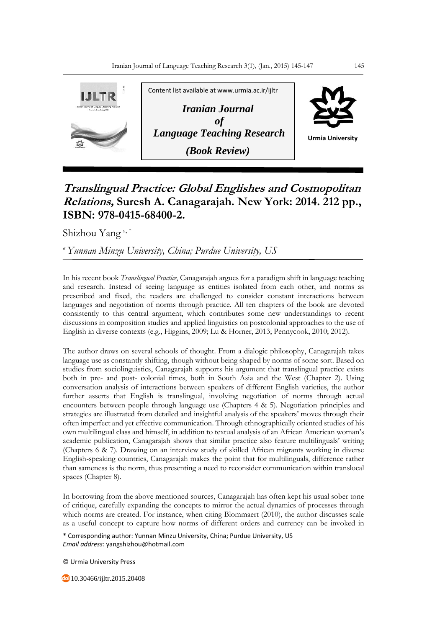

## **Translingual Practice: Global Englishes and Cosmopolitan Relations, Suresh A. Canagarajah. New York: 2014. 212 pp., ISBN: 978-0415-68400-2.**

Shizhou Yang<sup>a,\*</sup>

*<sup>a</sup>Yunnan Minzu University, China; Purdue University, US*

In his recent book *Translingual Practice*, Canagarajah argues for a paradigm shift in language teaching and research. Instead of seeing language as entities isolated from each other, and norms as prescribed and fixed, the readers are challenged to consider constant interactions between languages and negotiation of norms through practice. All ten chapters of the book are devoted consistently to this central argument, which contributes some new understandings to recent discussions in composition studies and applied linguistics on postcolonial approaches to the use of English in diverse contexts (e.g., Higgins, 2009; Lu & Horner, 2013; Pennycook, 2010; 2012).

The author draws on several schools of thought. From a dialogic philosophy, Canagarajah takes language use as constantly shifting, though without being shaped by norms of some sort. Based on studies from sociolinguistics, Canagarajah supports his argument that translingual practice exists both in pre- and post- colonial times, both in South Asia and the West (Chapter 2). Using conversation analysis of interactions between speakers of different English varieties, the author further asserts that English is translingual, involving negotiation of norms through actual encounters between people through language use (Chapters 4 & 5). Negotiation principles and strategies are illustrated from detailed and insightful analysis of the speakers' moves through their often imperfect and yet effective communication. Through ethnographically oriented studies of his own multilingual class and himself, in addition to textual analysis of an African American woman's academic publication, Canagarajah shows that similar practice also feature multilinguals' writing (Chapters 6 & 7). Drawing on an interview study of skilled African migrants working in diverse English-speaking countries, Canagarajah makes the point that for multilinguals, difference rather than sameness is the norm, thus presenting a need to reconsider communication within translocal spaces (Chapter 8).

In borrowing from the above mentioned sources, Canagarajah has often kept his usual sober tone of critique, carefully expanding the concepts to mirror the actual dynamics of processes through which norms are created. For instance, when citing Blommaert (2010), the author discusses scale as a useful concept to capture how norms of different orders and currency can be invoked in

\* Corresponding author: Yunnan Minzu University, China; Purdue University, US *Email address:* yangshizhou@hotmail.com

© Urmia University Press

10.30466/ijltr.2015.20408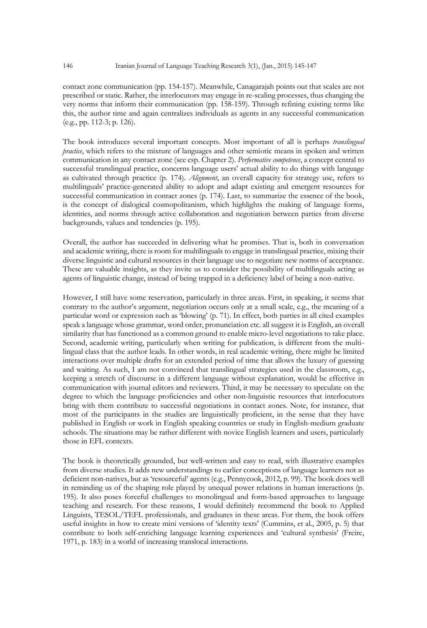contact zone communication (pp. 154-157). Meanwhile, Canagarajah points out that scales are not prescribed or static. Rather, the interlocutors may engage in re-scaling processes, thus changing the very norms that inform their communication (pp. 158-159). Through refining existing terms like this, the author time and again centralizes individuals as agents in any successful communication (e.g., pp. 112-3; p. 126).

The book introduces several important concepts. Most important of all is perhaps *translingual practice*, which refers to the mixture of languages and other semiotic means in spoken and written communication in any contact zone (see esp. Chapter 2). *Performative competence*, a concept central to successful translingual practice, concerns language users' actual ability to do things with language as cultivated through practice (p. 174). *Alignment*, an overall capacity for strategy use, refers to multilinguals' practice-generated ability to adopt and adapt existing and emergent resources for successful communication in contact zones (p. 174). Last, to summarize the essence of the book, is the concept of dialogical cosmopolitanism, which highlights the making of language forms, identities, and norms through active collaboration and negotiation between parties from diverse backgrounds, values and tendencies (p. 195).

Overall, the author has succeeded in delivering what he promises. That is, both in conversation and academic writing, there is room for multilinguals to engage in translingual practice, mixing their diverse linguistic and cultural resources in their language use to negotiate new norms of acceptance. These are valuable insights, as they invite us to consider the possibility of multilinguals acting as agents of linguistic change, instead of being trapped in a deficiency label of being a non-native.

However, I still have some reservation, particularly in three areas. First, in speaking, it seems that contrary to the author's argument, negotiation occurs only at a small scale, e.g., the meaning of a particular word or expression such as 'blowing' (p. 71). In effect, both parties in all cited examples speak a language whose grammar, word order, pronunciation etc. all suggest it is English, an overall similarity that has functioned as a common ground to enable micro-level negotiations to take place. Second, academic writing, particularly when writing for publication, is different from the multilingual class that the author leads. In other words, in real academic writing, there might be limited interactions over multiple drafts for an extended period of time that allows the luxury of guessing and waiting. As such, I am not convinced that translingual strategies used in the classroom, e.g., keeping a stretch of discourse in a different language without explanation, would be effective in communication with journal editors and reviewers. Third, it may be necessary to speculate on the degree to which the language proficiencies and other non-linguistic resources that interlocutors bring with them contribute to successful negotiations in contact zones. Note, for instance, that most of the participants in the studies are linguistically proficient, in the sense that they have published in English or work in English speaking countries or study in English-medium graduate schools. The situations may be rather different with novice English learners and users, particularly those in EFL contexts.

The book is theoretically grounded, but well-written and easy to read, with illustrative examples from diverse studies. It adds new understandings to earlier conceptions of language learners not as deficient non-natives, but as 'resourceful' agents (e.g., Pennycook, 2012, p. 99). The book does well in reminding us of the shaping role played by unequal power relations in human interactions (p. 195). It also poses forceful challenges to monolingual and form-based approaches to language teaching and research. For these reasons, I would definitely recommend the book to Applied Linguists, TESOL/TEFL professionals, and graduates in these areas. For them, the book offers useful insights in how to create mini versions of 'identity texts' (Cummins, et al., 2005, p. 5) that contribute to both self-enriching language learning experiences and 'cultural synthesis' (Freire, 1971, p. 183) in a world of increasing translocal interactions.